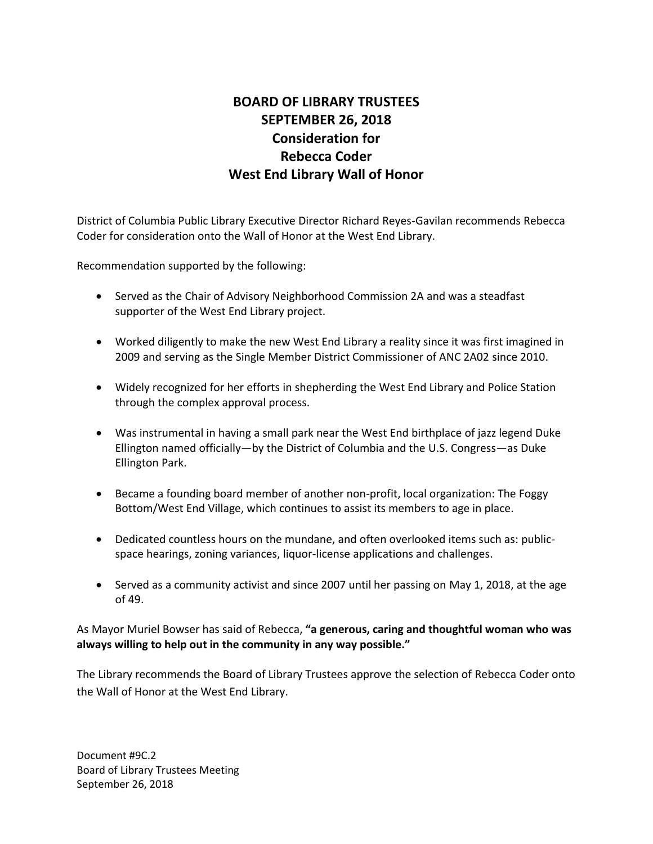## **BOARD OF LIBRARY TRUSTEES SEPTEMBER 26, 2018 Consideration for Rebecca Coder West End Library Wall of Honor**

District of Columbia Public Library Executive Director Richard Reyes-Gavilan recommends Rebecca Coder for consideration onto the Wall of Honor at the West End Library.

Recommendation supported by the following:

- Served as the Chair of Advisory Neighborhood Commission 2A and was a steadfast supporter of the West End Library project.
- Worked diligently to make the new West End Library a reality since it was first imagined in 2009 and serving as the Single Member District Commissioner of ANC 2A02 since 2010.
- Widely recognized for her efforts in shepherding the West End Library and Police Station through the complex approval process.
- Was instrumental in having a small park near the West End birthplace of jazz legend Duke Ellington named officially—by the District of Columbia and the U.S. Congress—as Duke Ellington Park.
- Became a founding board member of another non-profit, local organization: The Foggy Bottom/West End Village, which continues to assist its members to age in place.
- Dedicated countless hours on the mundane, and often overlooked items such as: publicspace hearings, zoning variances, liquor-license applications and challenges.
- Served as a community activist and since 2007 until her passing on May 1, 2018, at the age of 49.

As Mayor Muriel Bowser has said of Rebecca, **"a generous, caring and thoughtful woman who was always willing to help out in the community in any way possible."**

The Library recommends the Board of Library Trustees approve the selection of Rebecca Coder onto the Wall of Honor at the West End Library.

Document #9C.2 Board of Library Trustees Meeting September 26, 2018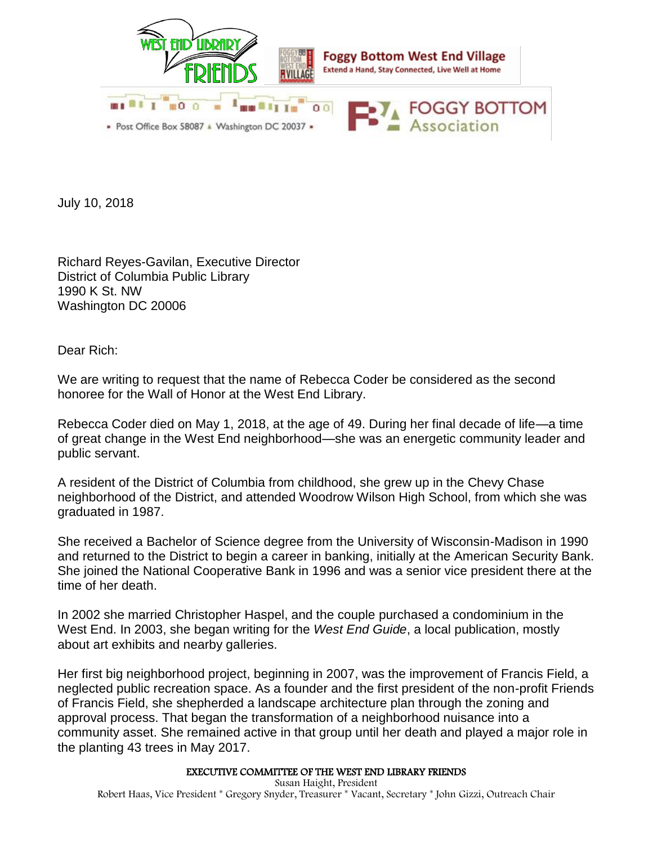

July 10, 2018

Richard Reyes-Gavilan, Executive Director District of Columbia Public Library 1990 K St. NW Washington DC 20006

Dear Rich:

We are writing to request that the name of Rebecca Coder be considered as the second honoree for the Wall of Honor at the West End Library.

Rebecca Coder died on May 1, 2018, at the age of 49. During her final decade of life—a time of great change in the West End neighborhood—she was an energetic community leader and public servant.

A resident of the District of Columbia from childhood, she grew up in the Chevy Chase neighborhood of the District, and attended Woodrow Wilson High School, from which she was graduated in 1987.

She received a Bachelor of Science degree from the University of Wisconsin-Madison in 1990 and returned to the District to begin a career in banking, initially at the American Security Bank. She joined the National Cooperative Bank in 1996 and was a senior vice president there at the time of her death.

In 2002 she married Christopher Haspel, and the couple purchased a condominium in the West End. In 2003, she began writing for the *West End Guide*, a local publication, mostly about art exhibits and nearby galleries.

Her first big neighborhood project, beginning in 2007, was the improvement of Francis Field, a neglected public recreation space. As a founder and the first president of the non-profit Friends of Francis Field, she shepherded a landscape architecture plan through the zoning and approval process. That began the transformation of a neighborhood nuisance into a community asset. She remained active in that group until her death and played a major role in the planting 43 trees in May 2017.

## EXECUTIVE COMMITTEE OF THE WEST END LIBRARY FRIENDS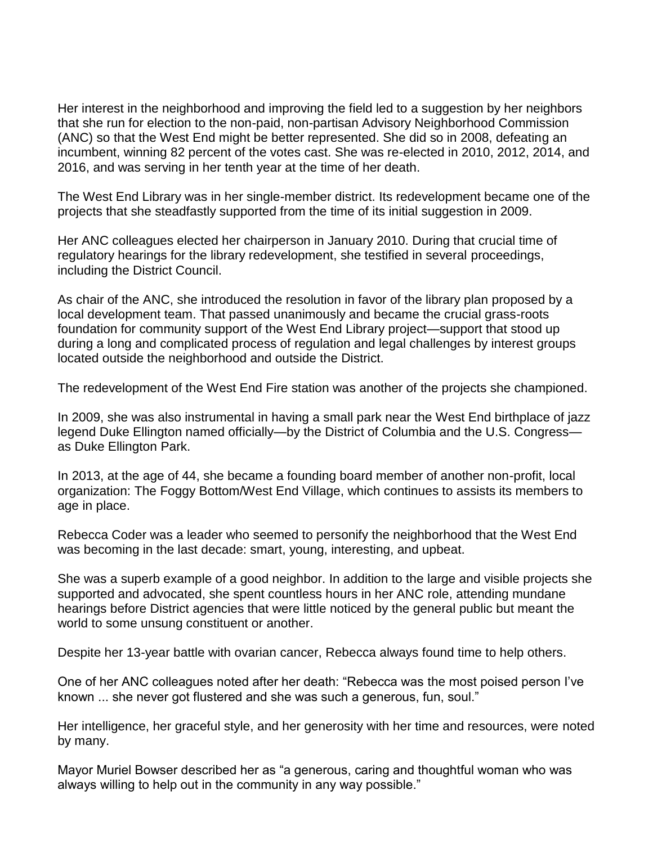Her interest in the neighborhood and improving the field led to a suggestion by her neighbors that she run for election to the non-paid, non-partisan Advisory Neighborhood Commission (ANC) so that the West End might be better represented. She did so in 2008, defeating an incumbent, winning 82 percent of the votes cast. She was re-elected in 2010, 2012, 2014, and 2016, and was serving in her tenth year at the time of her death.

The West End Library was in her single-member district. Its redevelopment became one of the projects that she steadfastly supported from the time of its initial suggestion in 2009.

Her ANC colleagues elected her chairperson in January 2010. During that crucial time of regulatory hearings for the library redevelopment, she testified in several proceedings, including the District Council.

As chair of the ANC, she introduced the resolution in favor of the library plan proposed by a local development team. That passed unanimously and became the crucial grass-roots foundation for community support of the West End Library project—support that stood up during a long and complicated process of regulation and legal challenges by interest groups located outside the neighborhood and outside the District.

The redevelopment of the West End Fire station was another of the projects she championed.

In 2009, she was also instrumental in having a small park near the West End birthplace of jazz legend Duke Ellington named officially—by the District of Columbia and the U.S. Congress as Duke Ellington Park.

In 2013, at the age of 44, she became a founding board member of another non-profit, local organization: The Foggy Bottom/West End Village, which continues to assists its members to age in place.

Rebecca Coder was a leader who seemed to personify the neighborhood that the West End was becoming in the last decade: smart, young, interesting, and upbeat.

She was a superb example of a good neighbor. In addition to the large and visible projects she supported and advocated, she spent countless hours in her ANC role, attending mundane hearings before District agencies that were little noticed by the general public but meant the world to some unsung constituent or another.

Despite her 13-year battle with ovarian cancer, Rebecca always found time to help others.

One of her ANC colleagues noted after her death: "Rebecca was the most poised person I've known ... she never got flustered and she was such a generous, fun, soul."

Her intelligence, her graceful style, and her generosity with her time and resources, were noted by many.

Mayor Muriel Bowser described her as "a generous, caring and thoughtful woman who was always willing to help out in the community in any way possible."